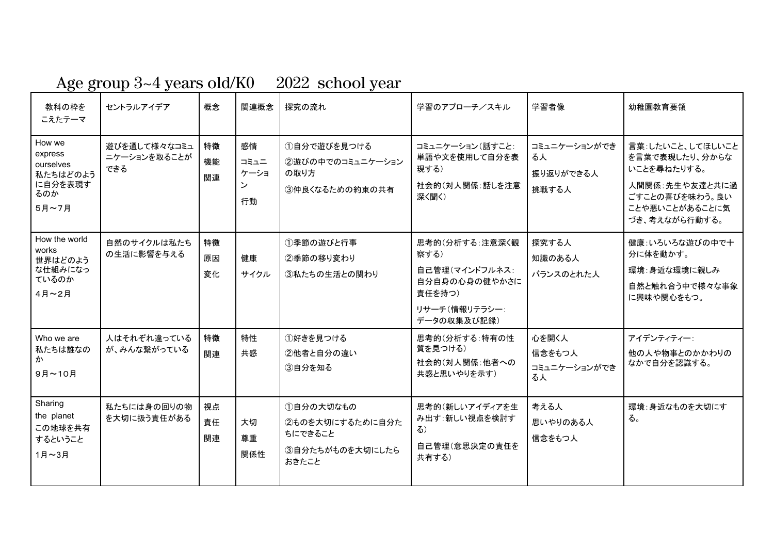## Age group 3~4 years old/K0 2022 school year

| 教科の枠を<br>こえたテーマ                                                       | セントラルアイデア                           | 概念             | 関連概念                          | 探究の流れ                                                               | 学習のアプローチ/スキル                                                                                        | 学習者像                                     | 幼稚園教育要領                                                                                                                  |
|-----------------------------------------------------------------------|-------------------------------------|----------------|-------------------------------|---------------------------------------------------------------------|-----------------------------------------------------------------------------------------------------|------------------------------------------|--------------------------------------------------------------------------------------------------------------------------|
| How we<br>express<br>ourselves<br>私たちはどのよう<br>に自分を表現す<br>るのか<br>5月~7月 | 遊びを通して様々なコミュ<br>ニケーションを取ることが<br>できる | 特徴<br>機能<br>関連 | 感情<br>コミュニ<br>ケーショ<br>ン<br>行動 | 1自分で遊びを見つける<br>②遊びの中でのコミュニケーション<br>の取り方<br>3)仲良くなるための約束の共有          | コミュニケーション(話すこと:<br>単語や文を使用して自分を表<br>現する)<br>社会的(対人関係:話しを注意<br>深く聞く)                                 | コミュニケーションができ<br>る人<br>振り返りができる人<br>挑戦する人 | 言葉:したいこと、してほしいこと<br>を言葉で表現したり、分からな<br>いことを尋ねたりする。<br>人間関係:先生や友達と共に過<br>ごすことの喜びを味わう。良い<br>ことや悪いことがあることに気<br>づき、考えながら行動する。 |
| How the world<br>works<br>世界はどのよう<br>な仕組みになっ<br>ているのか<br>4月~2月        | 自然のサイクルは私たち<br>の生活に影響を与える           | 特徴<br>原因<br>変化 | 健康<br>サイクル                    | 1季節の遊びと行事<br>2季節の移り変わり<br>③私たちの生活との関わり                              | 思考的(分析する:注意深く観<br>察する)<br>自己管理(マインドフルネス:<br>自分自身の心身の健やかさに<br>責任を持つ)<br>リサーチ(情報リテラシー:<br>データの収集及び記録) | 探究する人<br>知識のある人<br>バランスのとれた人             | 健康:いろいろな遊びの中で十<br>分に体を動かす。<br>環境:身近な環境に親しみ<br>自然と触れ合う中で様々な事象<br>に興味や関心をもつ。                                               |
| Who we are<br>私たちは誰なの<br>ゕ<br>9月~10月                                  | 人はそれぞれ違っている<br>が、みんな繋がっている          | 特徴<br>関連       | 特性<br>共感                      | ①好きを見つける<br>2他者と自分の違い<br>3自分を知る                                     | 思考的(分析する:特有の性<br>質を見つける)<br>社会的(対人関係:他者への<br>共感と思いやりを示す)                                            | 心を開く人<br>信念をもつ人<br>コミュニケーションができ<br>る人    | アイデンティティー:<br>他の人や物事とのかかわりの<br>なかで自分を認識する。                                                                               |
| Sharing<br>the planet<br>この地球を共有<br>するということ<br>1月~3月                  | 私たちには身の回りの物<br>を大切に扱う責任がある          | 視点<br>責任<br>関連 | 大切<br>尊重<br>関係性               | ①自分の大切なもの<br>②ものを大切にするために自分た<br>ちにできること<br>3自分たちがものを大切にしたら<br>おきたこと | 思考的(新しいアイディアを生<br>み出す:新しい視点を検討す<br>る)<br>自己管理(意思決定の責任を<br>共有する)                                     | 考える人<br>思いやりのある人<br>信念をもつ人               | 環境:身近なものを大切にす<br>る。                                                                                                      |